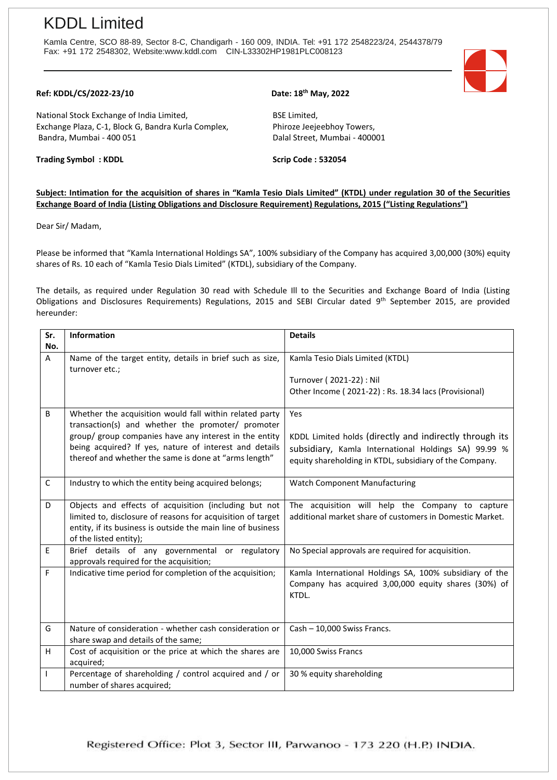## KDDL Limited

Kamla Centre, SCO 88-89, Sector 8-C, Chandigarh - 160 009, INDIA. Tel: +91 172 2548223/24, 2544378/79 Fax: +91 172 2548302, Website:www.kddl.com CIN-L33302HP1981PLC008123

## $Ref: KDDL/CS/2022-23/10$

National Stock Exchange of India Limited, Exchange Plaza, C-1, Block G, Bandra Kurla Complex, Bandra, Mumbai - 400 051

**Trading Symbol : KDDL Scrip Code : 532054** 

## **th May, 2022**

BSE Limited, Phiroze Jeejeebhoy Towers, Dalal Street, Mumbai - 400001

## **Subject: Intimation for the acquisition of shares in "Kamla Tesio Dials Limited" (KTDL) under regulation 30 of the Securities Exchange Board of India (Listing Obligations and Disclosure Requirement) Regulations, 2015 ("Listing Regulations")**

Dear Sir/ Madam,

Please be informed that "Kamla International Holdings SA", 100% subsidiary of the Company has acquired 3,00,000 (30%) equity shares of Rs. 10 each of "Kamla Tesio Dials Limited" (KTDL), subsidiary of the Company.

The details, as required under Regulation 30 read with Schedule Ill to the Securities and Exchange Board of India (Listing Obligations and Disclosures Requirements) Regulations, 2015 and SEBI Circular dated 9<sup>th</sup> September 2015, are provided hereunder:

| Sr.         | Information                                                                                                     | <b>Details</b>                                                                                                  |  |  |
|-------------|-----------------------------------------------------------------------------------------------------------------|-----------------------------------------------------------------------------------------------------------------|--|--|
| No.         |                                                                                                                 |                                                                                                                 |  |  |
| A           | Name of the target entity, details in brief such as size,<br>turnover etc.;                                     | Kamla Tesio Dials Limited (KTDL)                                                                                |  |  |
|             |                                                                                                                 | Turnover (2021-22) : Nil                                                                                        |  |  |
|             |                                                                                                                 | Other Income (2021-22): Rs. 18.34 lacs (Provisional)                                                            |  |  |
| B           | Whether the acquisition would fall within related party                                                         | Yes                                                                                                             |  |  |
|             | transaction(s) and whether the promoter/ promoter                                                               |                                                                                                                 |  |  |
|             | group/ group companies have any interest in the entity                                                          | KDDL Limited holds (directly and indirectly through its                                                         |  |  |
|             | being acquired? If yes, nature of interest and details<br>thereof and whether the same is done at "arms length" | subsidiary, Kamla International Holdings SA) 99.99 %<br>equity shareholding in KTDL, subsidiary of the Company. |  |  |
| $\mathsf C$ | Industry to which the entity being acquired belongs;                                                            | <b>Watch Component Manufacturing</b>                                                                            |  |  |
| D           | Objects and effects of acquisition (including but not                                                           | The acquisition will help the Company to capture                                                                |  |  |
|             | limited to, disclosure of reasons for acquisition of target                                                     | additional market share of customers in Domestic Market.                                                        |  |  |
|             | entity, if its business is outside the main line of business<br>of the listed entity);                          |                                                                                                                 |  |  |
| E           | Brief details of any governmental or regulatory                                                                 | No Special approvals are required for acquisition.                                                              |  |  |
|             | approvals required for the acquisition;                                                                         |                                                                                                                 |  |  |
| F           | Indicative time period for completion of the acquisition;                                                       | Kamla International Holdings SA, 100% subsidiary of the                                                         |  |  |
|             |                                                                                                                 | Company has acquired 3,00,000 equity shares (30%) of                                                            |  |  |
|             |                                                                                                                 | KTDL.                                                                                                           |  |  |
|             |                                                                                                                 |                                                                                                                 |  |  |
| G           | Nature of consideration - whether cash consideration or                                                         | Cash - 10,000 Swiss Francs.                                                                                     |  |  |
|             | share swap and details of the same;                                                                             |                                                                                                                 |  |  |
| н           | Cost of acquisition or the price at which the shares are                                                        | 10,000 Swiss Francs                                                                                             |  |  |
|             | acquired;                                                                                                       |                                                                                                                 |  |  |
|             | Percentage of shareholding / control acquired and / or                                                          | 30 % equity shareholding                                                                                        |  |  |
|             | number of shares acquired;                                                                                      |                                                                                                                 |  |  |